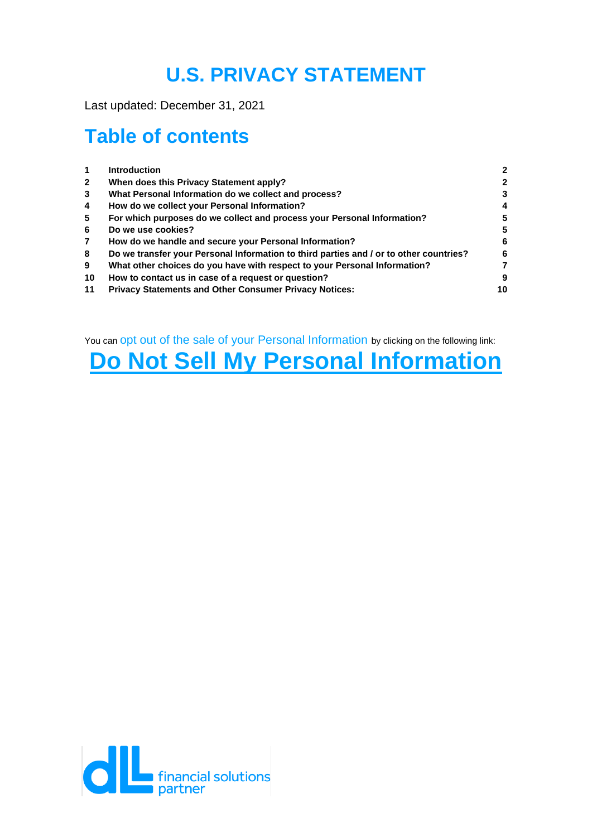# **U.S. PRIVACY STATEMENT**

Last updated: December 31, 2021

# **Table of contents**

| $\mathbf 1$  | <b>Introduction</b>                                                                    | $\mathbf{2}$ |
|--------------|----------------------------------------------------------------------------------------|--------------|
| $\mathbf{2}$ | When does this Privacy Statement apply?                                                | $\mathbf{2}$ |
| 3            | What Personal Information do we collect and process?                                   | 3            |
| 4            | How do we collect your Personal Information?                                           | 4            |
| 5            | For which purposes do we collect and process your Personal Information?                | 5            |
| 6            | Do we use cookies?                                                                     | 5            |
| $\mathbf{7}$ | How do we handle and secure your Personal Information?                                 | 6            |
| 8            | Do we transfer your Personal Information to third parties and / or to other countries? | 6            |
| 9            | What other choices do you have with respect to your Personal Information?              |              |
| 10           | How to contact us in case of a request or question?                                    | 9            |
| 11           | <b>Privacy Statements and Other Consumer Privacy Notices:</b>                          | 10           |

You can opt out of the sale of your Personal Information by clicking on the following link:

# **[Do Not Sell My Personal Information](https://privacyportal-de.onetrust.com/webform/4c656190-7a88-4118-8ba1-357d94108f4e/53d3050f-afb6-4bd0-8b5e-cdfaa14377eb)**

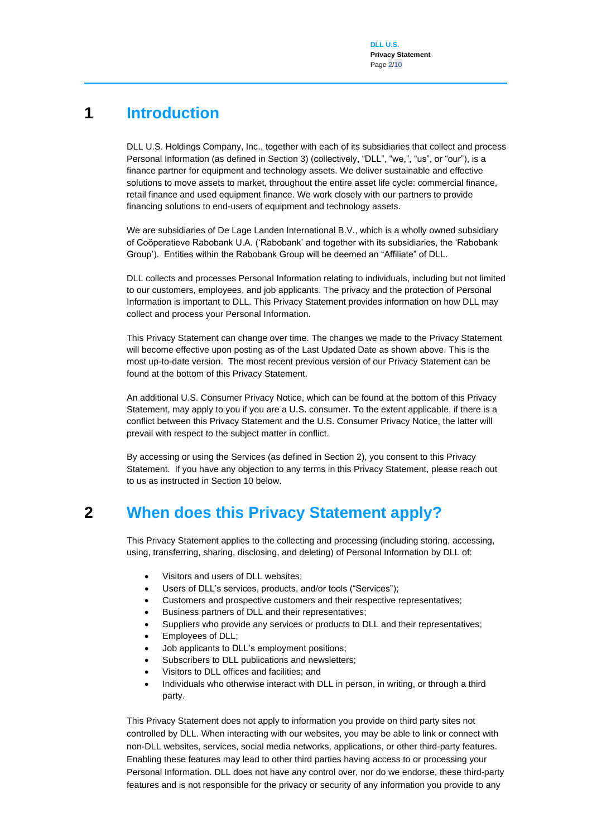### **1 Introduction**

<span id="page-1-0"></span>DLL U.S. Holdings Company, Inc., together with each of its subsidiaries that collect and process Personal Information (as defined in Section 3) (collectively, "DLL", "we,", "us", or "our"), is a finance partner for equipment and technology assets. We deliver sustainable and effective solutions to move assets to market, throughout the entire asset life cycle: commercial finance, retail finance and used equipment finance. We work closely with our partners to provide financing solutions to end-users of equipment and technology assets.

We are subsidiaries of De Lage Landen International B.V., which is a wholly owned subsidiary of Coöperatieve Rabobank U.A. ('Rabobank' and together with its subsidiaries, the 'Rabobank Group'). Entities within the Rabobank Group will be deemed an "Affiliate" of DLL.

DLL collects and processes Personal Information relating to individuals, including but not limited to our customers, employees, and job applicants. The privacy and the protection of Personal Information is important to DLL. This Privacy Statement provides information on how DLL may collect and process your Personal Information.

This Privacy Statement can change over time. The changes we made to the Privacy Statement will become effective upon posting as of the Last Updated Date as shown above. This is the most up-to-date version. The most recent previous version of our Privacy Statement can be found at the bottom of this Privacy Statement.

An additional U.S. Consumer Privacy Notice, which can be found at the bottom of this Privacy Statement, may apply to you if you are a U.S. consumer. To the extent applicable, if there is a conflict between this Privacy Statement and the U.S. Consumer Privacy Notice, the latter will prevail with respect to the subject matter in conflict.

By accessing or using the Services (as defined in Section 2), you consent to this Privacy Statement. If you have any objection to any terms in this Privacy Statement, please reach out to us as instructed in Section 10 below.

### **2 When does this Privacy Statement apply?**

<span id="page-1-1"></span>This Privacy Statement applies to the collecting and processing (including storing, accessing, using, transferring, sharing, disclosing, and deleting) of Personal Information by DLL of:

- Visitors and users of DLL websites;
- Users of DLL's services, products, and/or tools ("Services");
- Customers and prospective customers and their respective representatives;
- Business partners of DLL and their representatives;
- Suppliers who provide any services or products to DLL and their representatives;
- Employees of DLL;
- Job applicants to DLL's employment positions;
- Subscribers to DLL publications and newsletters;
- Visitors to DLL offices and facilities; and
- Individuals who otherwise interact with DLL in person, in writing, or through a third party.

This Privacy Statement does not apply to information you provide on third party sites not controlled by DLL. When interacting with our websites, you may be able to link or connect with non-DLL websites, services, social media networks, applications, or other third-party features. Enabling these features may lead to other third parties having access to or processing your Personal Information. DLL does not have any control over, nor do we endorse, these third-party features and is not responsible for the privacy or security of any information you provide to any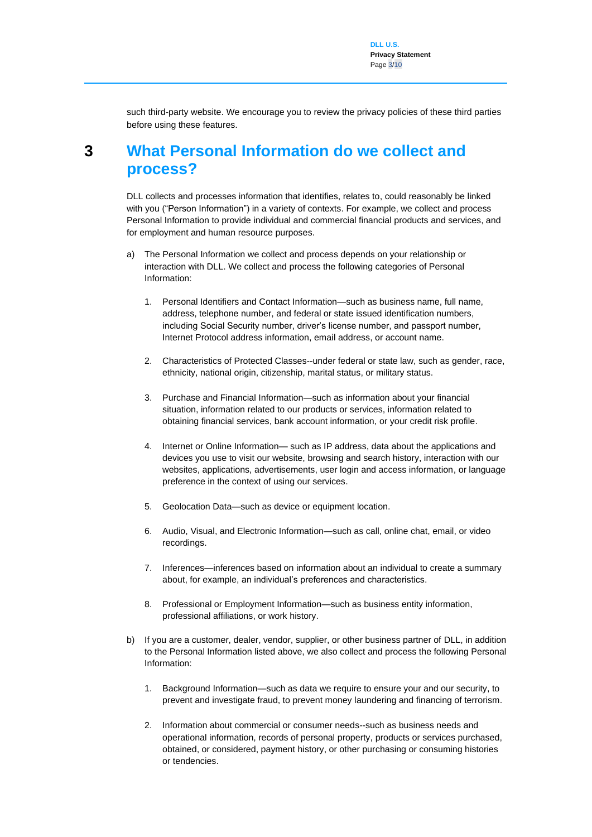<span id="page-2-0"></span>such third-party website. We encourage you to review the privacy policies of these third parties before using these features.

### **3 What Personal Information do we collect and process?**

DLL collects and processes information that identifies, relates to, could reasonably be linked with you ("Person Information") in a variety of contexts. For example, we collect and process Personal Information to provide individual and commercial financial products and services, and for employment and human resource purposes.

- a) The Personal Information we collect and process depends on your relationship or interaction with DLL. We collect and process the following categories of Personal Information:
	- 1. Personal Identifiers and Contact Information—such as business name, full name, address, telephone number, and federal or state issued identification numbers, including Social Security number, driver's license number, and passport number, Internet Protocol address information, email address, or account name.
	- 2. Characteristics of Protected Classes--under federal or state law, such as gender, race, ethnicity, national origin, citizenship, marital status, or military status.
	- 3. Purchase and Financial Information—such as information about your financial situation, information related to our products or services, information related to obtaining financial services, bank account information, or your credit risk profile.
	- 4. Internet or Online Information— such as IP address, data about the applications and devices you use to visit our website, browsing and search history, interaction with our websites, applications, advertisements, user login and access information, or language preference in the context of using our services.
	- 5. Geolocation Data—such as device or equipment location.
	- 6. Audio, Visual, and Electronic Information—such as call, online chat, email, or video recordings.
	- 7. Inferences—inferences based on information about an individual to create a summary about, for example, an individual's preferences and characteristics.
	- 8. Professional or Employment Information—such as business entity information, professional affiliations, or work history.
- b) If you are a customer, dealer, vendor, supplier, or other business partner of DLL, in addition to the Personal Information listed above, we also collect and process the following Personal Information:
	- 1. Background Information—such as data we require to ensure your and our security, to prevent and investigate fraud, to prevent money laundering and financing of terrorism.
	- 2. Information about commercial or consumer needs--such as business needs and operational information, records of personal property, products or services purchased, obtained, or considered, payment history, or other purchasing or consuming histories or tendencies.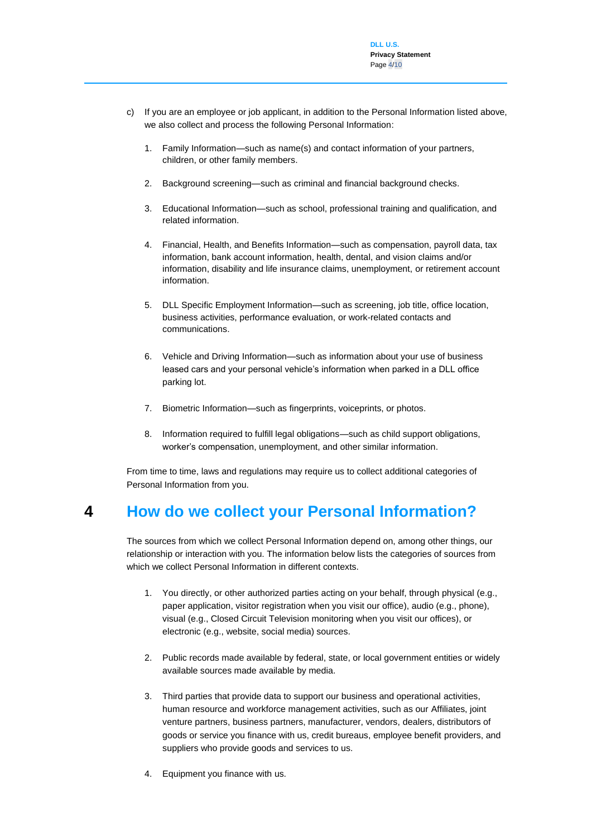- c) If you are an employee or job applicant, in addition to the Personal Information listed above, we also collect and process the following Personal Information:
	- 1. Family Information—such as name(s) and contact information of your partners, children, or other family members.
	- 2. Background screening—such as criminal and financial background checks.
	- 3. Educational Information—such as school, professional training and qualification, and related information.
	- 4. Financial, Health, and Benefits Information—such as compensation, payroll data, tax information, bank account information, health, dental, and vision claims and/or information, disability and life insurance claims, unemployment, or retirement account information.
	- 5. DLL Specific Employment Information—such as screening, job title, office location, business activities, performance evaluation, or work-related contacts and communications.
	- 6. Vehicle and Driving Information—such as information about your use of business leased cars and your personal vehicle's information when parked in a DLL office parking lot.
	- 7. Biometric Information—such as fingerprints, voiceprints, or photos.
	- 8. Information required to fulfill legal obligations—such as child support obligations, worker's compensation, unemployment, and other similar information.

From time to time, laws and regulations may require us to collect additional categories of Personal Information from you.

### **4 How do we collect your Personal Information?**

<span id="page-3-0"></span>The sources from which we collect Personal Information depend on, among other things, our relationship or interaction with you. The information below lists the categories of sources from which we collect Personal Information in different contexts.

- 1. You directly, or other authorized parties acting on your behalf, through physical (e.g., paper application, visitor registration when you visit our office), audio (e.g., phone), visual (e.g., Closed Circuit Television monitoring when you visit our offices), or electronic (e.g., website, social media) sources.
- 2. Public records made available by federal, state, or local government entities or widely available sources made available by media.
- 3. Third parties that provide data to support our business and operational activities, human resource and workforce management activities, such as our Affiliates, joint venture partners, business partners, manufacturer, vendors, dealers, distributors of goods or service you finance with us, credit bureaus, employee benefit providers, and suppliers who provide goods and services to us.
- 4. Equipment you finance with us.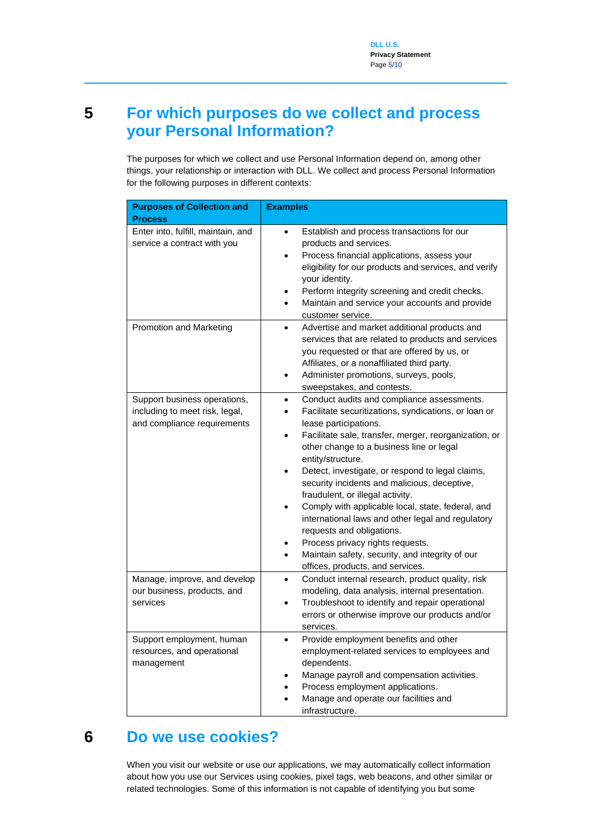## <span id="page-4-0"></span>**5 For which purposes do we collect and process your Personal Information?**

The purposes for which we collect and use Personal Information depend on, among other things, your relationship or interaction with DLL. We collect and process Personal Information for the following purposes in different contexts:

| <b>Purposes of Collection and</b><br><b>Process</b>                                           | <b>Examples</b>                                                                                                                                                                                                                                                                                                                                                                                                                                                                                                                                                                                                                                                 |
|-----------------------------------------------------------------------------------------------|-----------------------------------------------------------------------------------------------------------------------------------------------------------------------------------------------------------------------------------------------------------------------------------------------------------------------------------------------------------------------------------------------------------------------------------------------------------------------------------------------------------------------------------------------------------------------------------------------------------------------------------------------------------------|
| Enter into, fulfill, maintain, and<br>service a contract with you                             | Establish and process transactions for our<br>٠<br>products and services.<br>Process financial applications, assess your<br>$\bullet$<br>eligibility for our products and services, and verify<br>your identity.<br>Perform integrity screening and credit checks.<br>Maintain and service your accounts and provide<br>$\bullet$<br>customer service.                                                                                                                                                                                                                                                                                                          |
| Promotion and Marketing                                                                       | Advertise and market additional products and<br>$\bullet$<br>services that are related to products and services<br>you requested or that are offered by us, or<br>Affiliates, or a nonaffiliated third party.<br>Administer promotions, surveys, pools,<br>sweepstakes, and contests.                                                                                                                                                                                                                                                                                                                                                                           |
| Support business operations,<br>including to meet risk, legal,<br>and compliance requirements | Conduct audits and compliance assessments.<br>Facilitate securitizations, syndications, or loan or<br>lease participations.<br>Facilitate sale, transfer, merger, reorganization, or<br>other change to a business line or legal<br>entity/structure.<br>Detect, investigate, or respond to legal claims,<br>security incidents and malicious, deceptive,<br>fraudulent, or illegal activity.<br>Comply with applicable local, state, federal, and<br>international laws and other legal and regulatory<br>requests and obligations.<br>Process privacy rights requests.<br>Maintain safety, security, and integrity of our<br>offices, products, and services. |
| Manage, improve, and develop<br>our business, products, and<br>services                       | Conduct internal research, product quality, risk<br>$\bullet$<br>modeling, data analysis, internal presentation.<br>Troubleshoot to identify and repair operational<br>errors or otherwise improve our products and/or<br>services.                                                                                                                                                                                                                                                                                                                                                                                                                             |
| Support employment, human<br>resources, and operational<br>management                         | Provide employment benefits and other<br>employment-related services to employees and<br>dependents.<br>Manage payroll and compensation activities.<br>Process employment applications.<br>Manage and operate our facilities and<br>infrastructure.                                                                                                                                                                                                                                                                                                                                                                                                             |

### **6 Do we use cookies?**

<span id="page-4-1"></span>When you visit our website or use our applications, we may automatically collect information about how you use our Services using cookies, pixel tags, web beacons, and other similar or related technologies. Some of this information is not capable of identifying you but some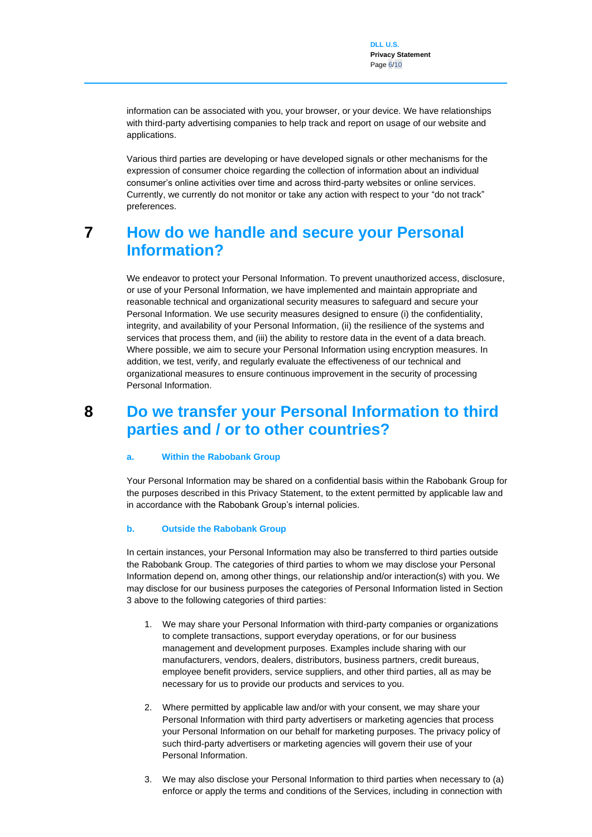information can be associated with you, your browser, or your device. We have relationships with third-party advertising companies to help track and report on usage of our website and applications.

Various third parties are developing or have developed signals or other mechanisms for the expression of consumer choice regarding the collection of information about an individual consumer's online activities over time and across third-party websites or online services. Currently, we currently do not monitor or take any action with respect to your "do not track" preferences.

### <span id="page-5-0"></span>**7 How do we handle and secure your Personal Information?**

We endeavor to protect your Personal Information. To prevent unauthorized access, disclosure, or use of your Personal Information, we have implemented and maintain appropriate and reasonable technical and organizational security measures to safeguard and secure your Personal Information. We use security measures designed to ensure (i) the confidentiality, integrity, and availability of your Personal Information, (ii) the resilience of the systems and services that process them, and (iii) the ability to restore data in the event of a data breach. Where possible, we aim to secure your Personal Information using encryption measures. In addition, we test, verify, and regularly evaluate the effectiveness of our technical and organizational measures to ensure continuous improvement in the security of processing Personal Information.

### <span id="page-5-1"></span>**8 Do we transfer your Personal Information to third parties and / or to other countries?**

#### **a. Within the Rabobank Group**

Your Personal Information may be shared on a confidential basis within the Rabobank Group for the purposes described in this Privacy Statement, to the extent permitted by applicable law and in accordance with the Rabobank Group's internal policies.

#### **b. Outside the Rabobank Group**

In certain instances, your Personal Information may also be transferred to third parties outside the Rabobank Group. The categories of third parties to whom we may disclose your Personal Information depend on, among other things, our relationship and/or interaction(s) with you. We may disclose for our business purposes the categories of Personal Information listed in Section 3 above to the following categories of third parties:

- 1. We may share your Personal Information with third-party companies or organizations to complete transactions, support everyday operations, or for our business management and development purposes. Examples include sharing with our manufacturers, vendors, dealers, distributors, business partners, credit bureaus, employee benefit providers, service suppliers, and other third parties, all as may be necessary for us to provide our products and services to you.
- 2. Where permitted by applicable law and/or with your consent, we may share your Personal Information with third party advertisers or marketing agencies that process your Personal Information on our behalf for marketing purposes. The privacy policy of such third-party advertisers or marketing agencies will govern their use of your Personal Information.
- 3. We may also disclose your Personal Information to third parties when necessary to (a) enforce or apply the terms and conditions of the Services, including in connection with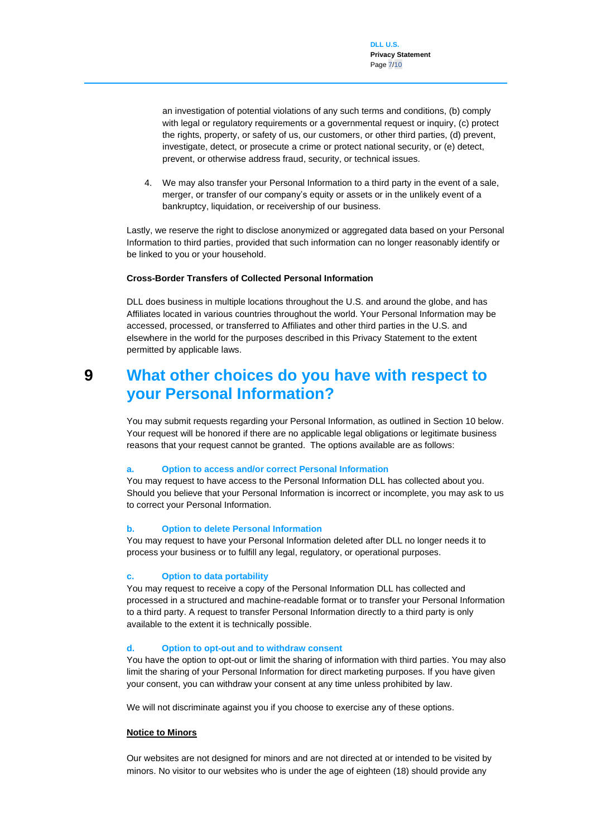an investigation of potential violations of any such terms and conditions, (b) comply with legal or regulatory requirements or a governmental request or inquiry, (c) protect the rights, property, or safety of us, our customers, or other third parties, (d) prevent, investigate, detect, or prosecute a crime or protect national security, or (e) detect, prevent, or otherwise address fraud, security, or technical issues.

4. We may also transfer your Personal Information to a third party in the event of a sale, merger, or transfer of our company's equity or assets or in the unlikely event of a bankruptcy, liquidation, or receivership of our business.

Lastly, we reserve the right to disclose anonymized or aggregated data based on your Personal Information to third parties, provided that such information can no longer reasonably identify or be linked to you or your household.

#### **Cross-Border Transfers of Collected Personal Information**

DLL does business in multiple locations throughout the U.S. and around the globe, and has Affiliates located in various countries throughout the world. Your Personal Information may be accessed, processed, or transferred to Affiliates and other third parties in the U.S. and elsewhere in the world for the purposes described in this Privacy Statement to the extent permitted by applicable laws.

### <span id="page-6-0"></span>**9 What other choices do you have with respect to your Personal Information?**

You may submit requests regarding your Personal Information, as outlined in Section 10 below. Your request will be honored if there are no applicable legal obligations or legitimate business reasons that your request cannot be granted. The options available are as follows:

#### **a. Option to access and/or correct Personal Information**

You may request to have access to the Personal Information DLL has collected about you. Should you believe that your Personal Information is incorrect or incomplete, you may ask to us to correct your Personal Information.

#### **b. Option to delete Personal Information**

You may request to have your Personal Information deleted after DLL no longer needs it to process your business or to fulfill any legal, regulatory, or operational purposes.

#### **c. Option to data portability**

You may request to receive a copy of the Personal Information DLL has collected and processed in a structured and machine-readable format or to transfer your Personal Information to a third party. A request to transfer Personal Information directly to a third party is only available to the extent it is technically possible.

#### **d. Option to opt-out and to withdraw consent**

You have the option to opt-out or limit the sharing of information with third parties. You may also limit the sharing of your Personal Information for direct marketing purposes. If you have given your consent, you can withdraw your consent at any time unless prohibited by law.

We will not discriminate against you if you choose to exercise any of these options.

#### **Notice to Minors**

Our websites are not designed for minors and are not directed at or intended to be visited by minors. No visitor to our websites who is under the age of eighteen (18) should provide any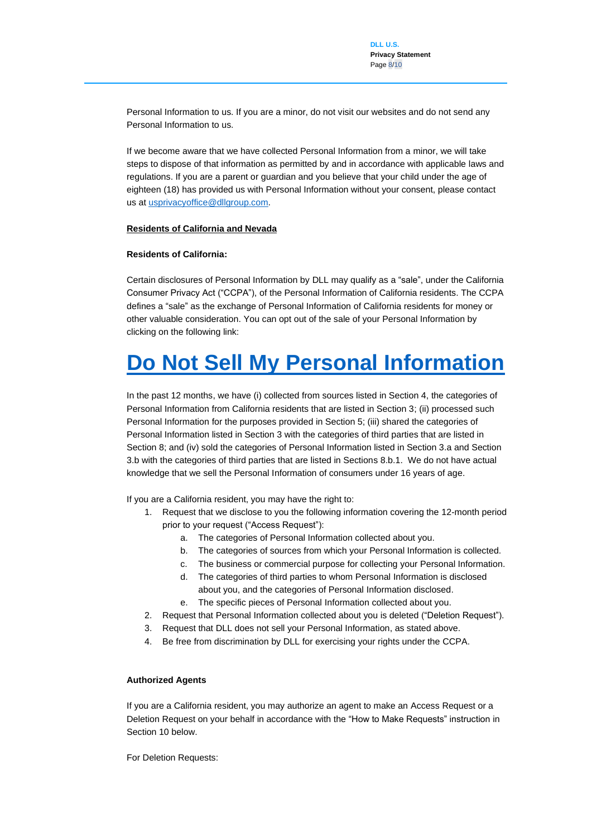Personal Information to us. If you are a minor, do not visit our websites and do not send any Personal Information to us.

If we become aware that we have collected Personal Information from a minor, we will take steps to dispose of that information as permitted by and in accordance with applicable laws and regulations. If you are a parent or guardian and you believe that your child under the age of eighteen (18) has provided us with Personal Information without your consent, please contact us a[t usprivacyoffice@dllgroup.com.](mailto:usprivacyoffice@dllgroup.com)

#### **Residents of California and Nevada**

#### **Residents of California:**

Certain disclosures of Personal Information by DLL may qualify as a "sale", under the California Consumer Privacy Act ("CCPA"), of the Personal Information of California residents. The CCPA defines a "sale" as the exchange of Personal Information of California residents for money or other valuable consideration. You can opt out of the sale of your Personal Information by clicking on the following link:

# **[Do Not Sell My Personal Information](https://privacyportal-de.onetrust.com/webform/4c656190-7a88-4118-8ba1-357d94108f4e/53d3050f-afb6-4bd0-8b5e-cdfaa14377eb)**

In the past 12 months, we have (i) collected from sources listed in Section 4, the categories of Personal Information from California residents that are listed in Section 3; (ii) processed such Personal Information for the purposes provided in Section 5; (iii) shared the categories of Personal Information listed in Section 3 with the categories of third parties that are listed in Section 8; and (iv) sold the categories of Personal Information listed in Section 3.a and Section 3.b with the categories of third parties that are listed in Sections 8.b.1. We do not have actual knowledge that we sell the Personal Information of consumers under 16 years of age.

If you are a California resident, you may have the right to:

- 1. Request that we disclose to you the following information covering the 12-month period prior to your request ("Access Request"):
	- a. The categories of Personal Information collected about you.
	- b. The categories of sources from which your Personal Information is collected.
	- c. The business or commercial purpose for collecting your Personal Information.
	- d. The categories of third parties to whom Personal Information is disclosed about you, and the categories of Personal Information disclosed.
	- e. The specific pieces of Personal Information collected about you.
- 2. Request that Personal Information collected about you is deleted ("Deletion Request").
- 3. Request that DLL does not sell your Personal Information, as stated above.
- 4. Be free from discrimination by DLL for exercising your rights under the CCPA.

#### **Authorized Agents**

If you are a California resident, you may authorize an agent to make an Access Request or a Deletion Request on your behalf in accordance with the "How to Make Requests" instruction in Section 10 below.

For Deletion Requests: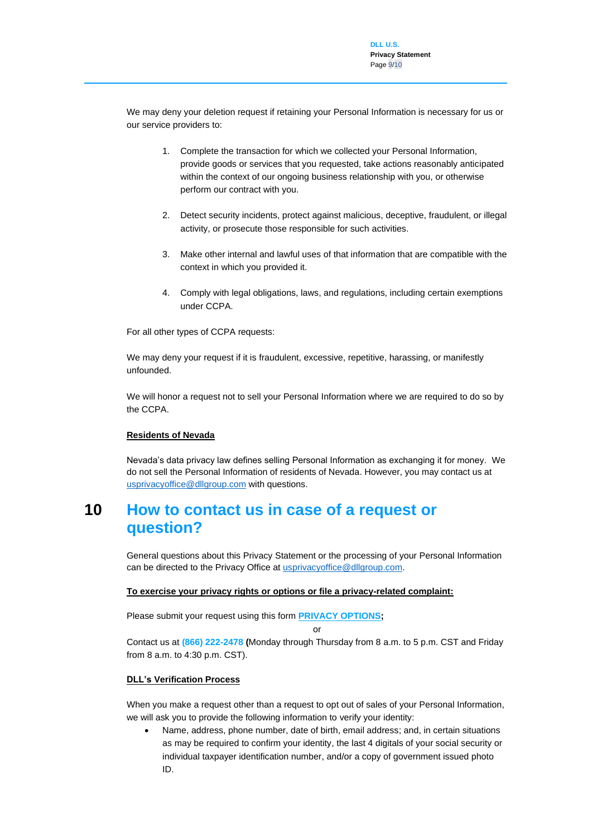We may deny your deletion request if retaining your Personal Information is necessary for us or our service providers to:

- 1. Complete the transaction for which we collected your Personal Information, provide goods or services that you requested, take actions reasonably anticipated within the context of our ongoing business relationship with you, or otherwise perform our contract with you.
- 2. Detect security incidents, protect against malicious, deceptive, fraudulent, or illegal activity, or prosecute those responsible for such activities.
- 3. Make other internal and lawful uses of that information that are compatible with the context in which you provided it.
- 4. Comply with legal obligations, laws, and regulations, including certain exemptions under CCPA.

For all other types of CCPA requests:

We may deny your request if it is fraudulent, excessive, repetitive, harassing, or manifestly unfounded.

We will honor a request not to sell your Personal Information where we are required to do so by the CCPA.

#### **Residents of Nevada**

Nevada's data privacy law defines selling Personal Information as exchanging it for money. We do not sell the Personal Information of residents of Nevada. However, you may contact us at [usprivacyoffice@dllgroup.com](https://connect2dll-my.sharepoint.com/personal/wangw_delagelanden_com/Documents/Winnie/Privacy/Privacy%20Statement/usprivacyoffice@dllgroup.com) with questions.

### <span id="page-8-0"></span>**10 How to contact us in case of a request or question?**

General questions about this Privacy Statement or the processing of your Personal Information can be directed to the Privacy Office at [usprivacyoffice@dllgroup.com.](mailto:usprivacyoffice@dllgroup.com)

### **To exercise your privacy rights or options or file a privacy-related complaint:**

Please submit your request using this form **[PRIVACY OPTIONS;](https://privacyportal-de.onetrust.com/webform/4c656190-7a88-4118-8ba1-357d94108f4e/53d3050f-afb6-4bd0-8b5e-cdfaa14377eb)** 

or

Contact us at **(866) 222-2478 (**Monday through Thursday from 8 a.m. to 5 p.m. CST and Friday from 8 a.m. to 4:30 p.m. CST).

#### **DLL's Verification Process**

When you make a request other than a request to opt out of sales of your Personal Information, we will ask you to provide the following information to verify your identity:

• Name, address, phone number, date of birth, email address; and, in certain situations as may be required to confirm your identity, the last 4 digitals of your social security or individual taxpayer identification number, and/or a copy of government issued photo ID.